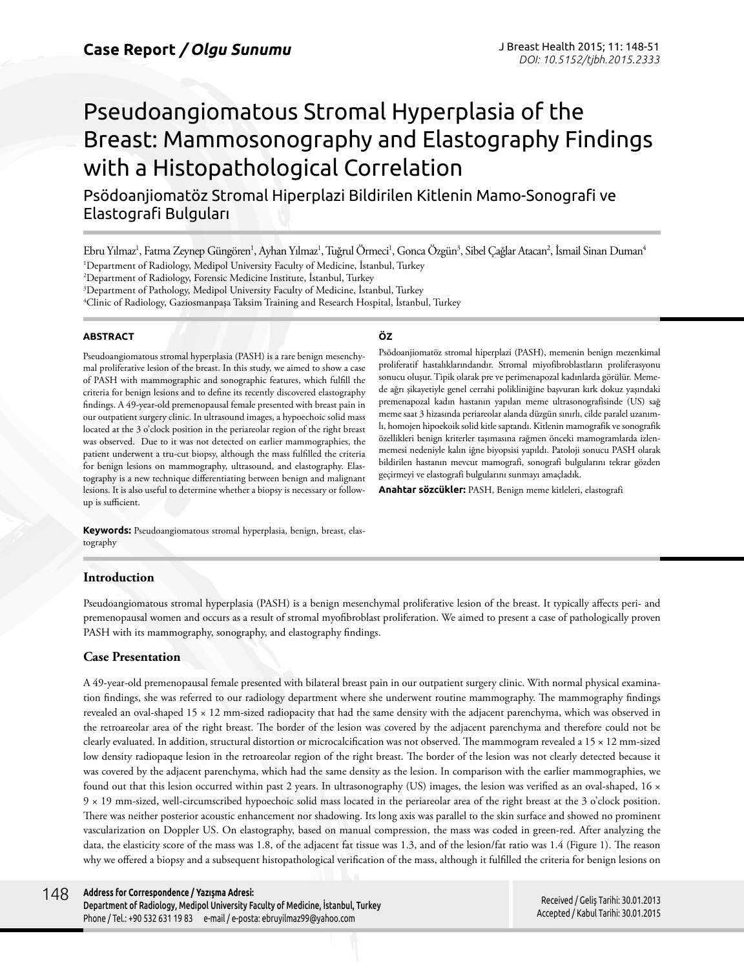# Pseudoangiomatous Stromal Hyperplasia of the Breast: Mammosonography and Elastography Findings with a Histopathological Correlation

Psödoanjiomatöz Stromal Hiperplazi Bildirilen Kitlenin Mamo-Sonografi ve Elastografi Bulguları

Ebru Yılmaz<sup>ı</sup>, Fatma Zeynep Güngören<sup>ı</sup>, Ayhan Yılmaz<sup>ı</sup>, Tuğrul Örmeci<sup>ı</sup>, Gonca Özgün<sup>3</sup>, Sibel Çağlar Atacan<sup>2</sup>, İsmail Sinan Duman<sup>4</sup> 1 Department of Radiology, Medipol University Faculty of Medicine, İstanbul, Turkey

2 Department of Radiology, Forensic Medicine Institute, İstanbul, Turkey

3 Department of Pathology, Medipol University Faculty of Medicine, İstanbul, Turkey

4 Clinic of Radiology, Gaziosmanpaşa Taksim Training and Research Hospital, İstanbul, Turkey

#### **ABSTRACT**

Pseudoangiomatous stromal hyperplasia (PASH) is a rare benign mesenchymal proliferative lesion of the breast. In this study, we aimed to show a case of PASH with mammographic and sonographic features, which fulfill the criteria for benign lesions and to define its recently discovered elastography findings. A 49-year-old premenopausal female presented with breast pain in our outpatient surgery clinic. In ultrasound images, a hypoechoic solid mass located at the 3 o'clock position in the periareolar region of the right breast was observed. Due to it was not detected on earlier mammographies, the patient underwent a tru-cut biopsy, although the mass fulfilled the criteria for benign lesions on mammography, ultrasound, and elastography. Elastography is a new technique differentiating between benign and malignant lesions. It is also useful to determine whether a biopsy is necessary or followup is sufficient.

#### **ÖZ**

Psödoanjiomatöz stromal hiperplazi (PASH), memenin benign mezenkimal proliferatif hastalıklarındandır. Stromal miyofibroblastların proliferasyonu sonucu oluşur. Tipik olarak pre ve perimenapozal kadınlarda görülür. Memede ağrı şikayetiyle genel cerrahi polikliniğine başvuran kırk dokuz yaşındaki premenapozal kadın hastanın yapılan meme ultrasonografisinde (US) sağ meme saat 3 hizasında periareolar alanda düzgün sınırlı, cilde paralel uzanımlı, homojen hipoekoik solid kitle saptandı. Kitlenin mamografik ve sonografik özellikleri benign kriterler taşımasına rağmen önceki mamogramlarda izlenmemesi nedeniyle kalın iğne biyopsisi yapıldı. Patoloji sonucu PASH olarak bildirilen hastanın mevcut mamografi, sonografi bulgularını tekrar gözden geçirmeyi ve elastografi bulgularını sunmayı amaçladık.

**Anahtar sözcükler:** PASH, Benign meme kitleleri, elastografi

**Keywords:** Pseudoangiomatous stromal hyperplasia, benign, breast, elastography

## **Introduction**

Pseudoangiomatous stromal hyperplasia (PASH) is a benign mesenchymal proliferative lesion of the breast. It typically affects peri- and premenopausal women and occurs as a result of stromal myofibroblast proliferation. We aimed to present a case of pathologically proven PASH with its mammography, sonography, and elastography findings.

## **Case Presentation**

A 49-year-old premenopausal female presented with bilateral breast pain in our outpatient surgery clinic. With normal physical examination findings, she was referred to our radiology department where she underwent routine mammography. The mammography findings revealed an oval-shaped 15 × 12 mm-sized radiopacity that had the same density with the adjacent parenchyma, which was observed in the retroareolar area of the right breast. The border of the lesion was covered by the adjacent parenchyma and therefore could not be clearly evaluated. In addition, structural distortion or microcalcification was not observed. The mammogram revealed a 15 × 12 mm-sized low density radiopaque lesion in the retroareolar region of the right breast. The border of the lesion was not clearly detected because it was covered by the adjacent parenchyma, which had the same density as the lesion. In comparison with the earlier mammographies, we found out that this lesion occurred within past 2 years. In ultrasonography (US) images, the lesion was verified as an oval-shaped, 16  $\times$ 9 × 19 mm-sized, well-circumscribed hypoechoic solid mass located in the periareolar area of the right breast at the 3 o'clock position. There was neither posterior acoustic enhancement nor shadowing. Its long axis was parallel to the skin surface and showed no prominent vascularization on Doppler US. On elastography, based on manual compression, the mass was coded in green-red. After analyzing the data, the elasticity score of the mass was 1.8, of the adjacent fat tissue was 1.3, and of the lesion/fat ratio was 1.4 (Figure 1). The reason why we offered a biopsy and a subsequent histopathological verification of the mass, although it fulfilled the criteria for benign lesions on

Department of Radiology, Medipol University Faculty of Medicine, İstanbul, Turkey Phone / Tel.: +90 532 631 19 83 e-mail / e-posta: ebruyilmaz99@yahoo.com

Received / Geliş Tarihi: 30.01.2013 Accepted / Kabul Tarihi: 30.01.2015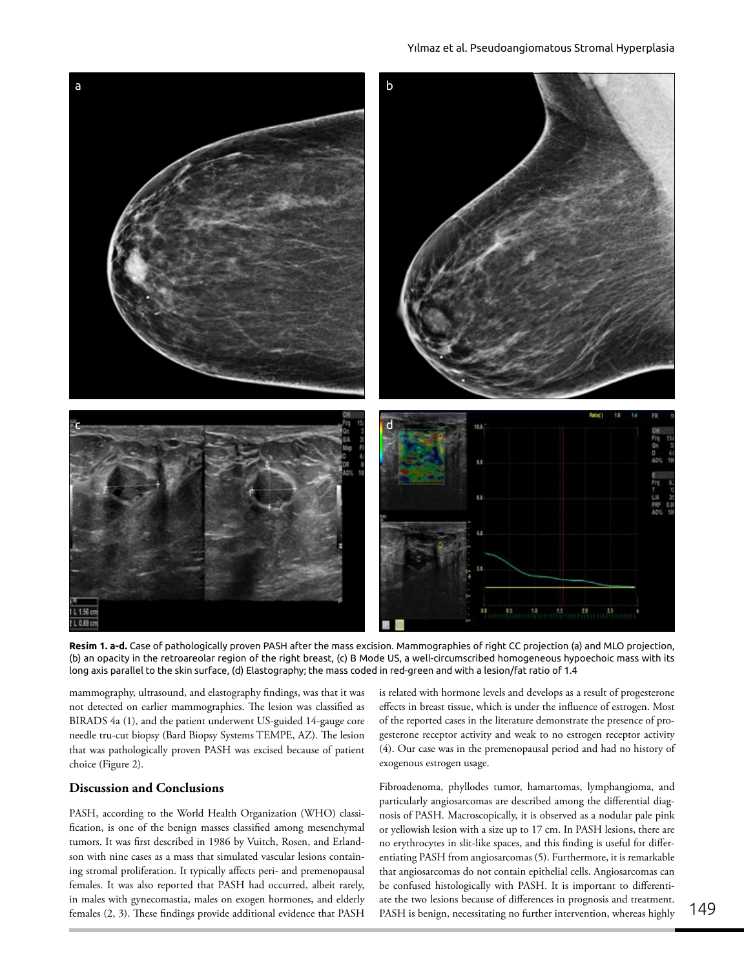

**Resim 1. a-d.** Case of pathologically proven PASH after the mass excision. Mammographies of right CC projection (a) and MLO projection, (b) an opacity in the retroareolar region of the right breast, (c) B Mode US, a well-circumscribed homogeneous hypoechoic mass with its long axis parallel to the skin surface, (d) Elastography; the mass coded in red-green and with a lesion/fat ratio of 1.4

mammography, ultrasound, and elastography findings, was that it was not detected on earlier mammographies. The lesion was classified as BIRADS 4a (1), and the patient underwent US-guided 14-gauge core needle tru-cut biopsy (Bard Biopsy Systems TEMPE, AZ). The lesion that was pathologically proven PASH was excised because of patient choice (Figure 2).

## **Discussion and Conclusions**

PASH, according to the World Health Organization (WHO) classification, is one of the benign masses classified among mesenchymal tumors. It was first described in 1986 by Vuitch, Rosen, and Erlandson with nine cases as a mass that simulated vascular lesions containing stromal proliferation. It typically affects peri- and premenopausal females. It was also reported that PASH had occurred, albeit rarely, in males with gynecomastia, males on exogen hormones, and elderly females (2, 3). These findings provide additional evidence that PASH

is related with hormone levels and develops as a result of progesterone effects in breast tissue, which is under the influence of estrogen. Most of the reported cases in the literature demonstrate the presence of progesterone receptor activity and weak to no estrogen receptor activity (4). Our case was in the premenopausal period and had no history of exogenous estrogen usage.

Fibroadenoma, phyllodes tumor, hamartomas, lymphangioma, and particularly angiosarcomas are described among the differential diagnosis of PASH. Macroscopically, it is observed as a nodular pale pink or yellowish lesion with a size up to 17 cm. In PASH lesions, there are no erythrocytes in slit-like spaces, and this finding is useful for differentiating PASH from angiosarcomas (5). Furthermore, it is remarkable that angiosarcomas do not contain epithelial cells. Angiosarcomas can be confused histologically with PASH. It is important to differentiate the two lesions because of differences in prognosis and treatment. PASH is benign, necessitating no further intervention, whereas highly 149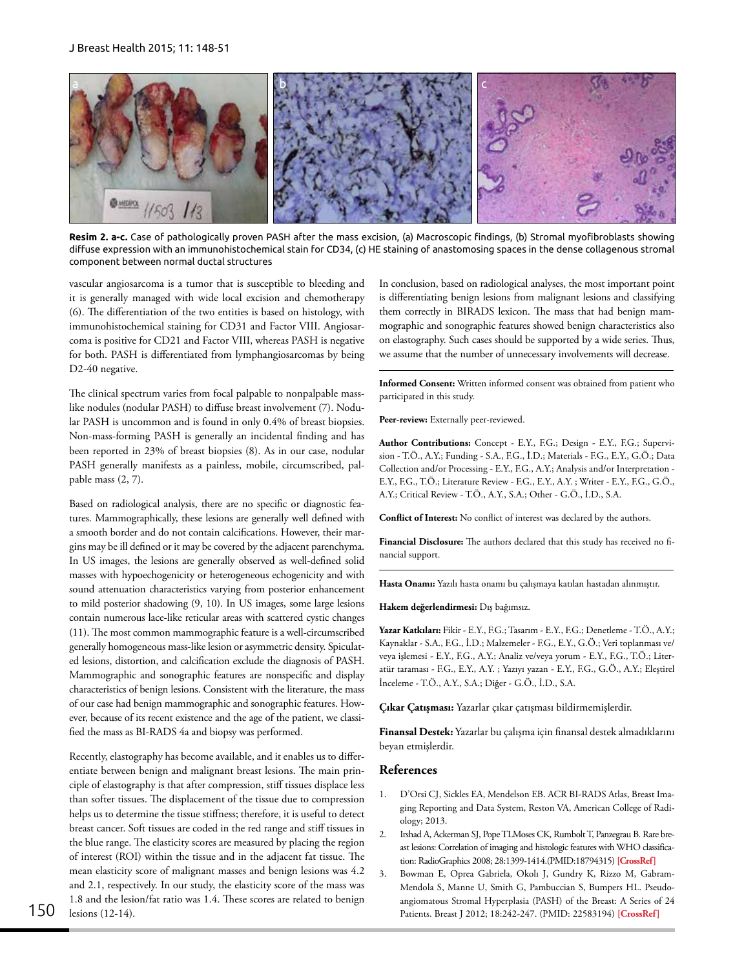

**Resim 2. a-c.** Case of pathologically proven PASH after the mass excision, (a) Macroscopic findings, (b) Stromal myofibroblasts showing diffuse expression with an immunohistochemical stain for CD34, (c) HE staining of anastomosing spaces in the dense collagenous stromal component between normal ductal structures

vascular angiosarcoma is a tumor that is susceptible to bleeding and it is generally managed with wide local excision and chemotherapy (6). The differentiation of the two entities is based on histology, with immunohistochemical staining for CD31 and Factor VIII. Angiosarcoma is positive for CD21 and Factor VIII, whereas PASH is negative for both. PASH is differentiated from lymphangiosarcomas by being D2-40 negative.

The clinical spectrum varies from focal palpable to nonpalpable masslike nodules (nodular PASH) to diffuse breast involvement (7). Nodular PASH is uncommon and is found in only 0.4% of breast biopsies. Non-mass-forming PASH is generally an incidental finding and has been reported in 23% of breast biopsies (8). As in our case, nodular PASH generally manifests as a painless, mobile, circumscribed, palpable mass (2, 7).

Based on radiological analysis, there are no specific or diagnostic features. Mammographically, these lesions are generally well defined with a smooth border and do not contain calcifications. However, their margins may be ill defined or it may be covered by the adjacent parenchyma. In US images, the lesions are generally observed as well-defined solid masses with hypoechogenicity or heterogeneous echogenicity and with sound attenuation characteristics varying from posterior enhancement to mild posterior shadowing (9, 10). In US images, some large lesions contain numerous lace-like reticular areas with scattered cystic changes (11). The most common mammographic feature is a well-circumscribed generally homogeneous mass-like lesion or asymmetric density. Spiculated lesions, distortion, and calcification exclude the diagnosis of PASH. Mammographic and sonographic features are nonspecific and display characteristics of benign lesions. Consistent with the literature, the mass of our case had benign mammographic and sonographic features. However, because of its recent existence and the age of the patient, we classified the mass as BI-RADS 4a and biopsy was performed.

Recently, elastography has become available, and it enables us to differentiate between benign and malignant breast lesions. The main principle of elastography is that after compression, stiff tissues displace less than softer tissues. The displacement of the tissue due to compression helps us to determine the tissue stiffness; therefore, it is useful to detect breast cancer. Soft tissues are coded in the red range and stiff tissues in the blue range. The elasticity scores are measured by placing the region of interest (ROI) within the tissue and in the adjacent fat tissue. The mean elasticity score of malignant masses and benign lesions was 4.2 and 2.1, respectively. In our study, the elasticity score of the mass was 1.8 and the lesion/fat ratio was 1.4. These scores are related to benign lesions (12-14). 150 Patients. Breast J 2012; 18:242-247. (PMID: 22583194) **[\[CrossRef\]](http://dx.doi.org/10.1111/j.1524-4741.2012.01230.x)**

In conclusion, based on radiological analyses, the most important point is differentiating benign lesions from malignant lesions and classifying them correctly in BIRADS lexicon. The mass that had benign mammographic and sonographic features showed benign characteristics also on elastography. Such cases should be supported by a wide series. Thus, we assume that the number of unnecessary involvements will decrease.

**Informed Consent:** Written informed consent was obtained from patient who participated in this study.

Peer-review: Externally peer-reviewed.

**Author Contributions:** Concept - E.Y., F.G.; Design - E.Y., F.G.; Supervision - T.Ö., A.Y.; Funding - S.A., F.G., İ.D.; Materials - F.G., E.Y., G.Ö.; Data Collection and/or Processing - E.Y., F.G., A.Y.; Analysis and/or Interpretation - E.Y., F.G., T.Ö.; Literature Review - F.G., E.Y., A.Y. ; Writer - E.Y., F.G., G.Ö., A.Y.; Critical Review - T.Ö., A.Y., S.A.; Other - G.Ö., İ.D., S.A.

**Conflict of Interest:** No conflict of interest was declared by the authors.

**Financial Disclosure:** The authors declared that this study has received no financial support.

**Hasta Onamı:** Yazılı hasta onamı bu çalışmaya katılan hastadan alınmıştır.

**Hakem değerlendirmesi:** Dış bağımsız.

**Yazar Katkıları:** Fikir - E.Y., F.G.; Tasarım - E.Y., F.G.; Denetleme - T.Ö., A.Y.; Kaynaklar - S.A., F.G., İ.D.; Malzemeler - F.G., E.Y., G.Ö.; Veri toplanması ve/ veya işlemesi - E.Y., F.G., A.Y.; Analiz ve/veya yorum - E.Y., F.G., T.Ö.; Literatür taraması - F.G., E.Y., A.Y. ; Yazıyı yazan - E.Y., F.G., G.Ö., A.Y.; Eleştirel İnceleme - T.Ö., A.Y., S.A.; Diğer - G.Ö., İ.D., S.A.

**Çıkar Çatışması:** Yazarlar çıkar çatışması bildirmemişlerdir.

**Finansal Destek:** Yazarlar bu çalışma için finansal destek almadıklarını beyan etmişlerdir.

## **References**

- 1. D'Orsi CJ, Sickles EA, Mendelson EB. ACR BI-RADS Atlas, Breast Imaging Reporting and Data System, Reston VA, American College of Radiology; 2013.
- 2. Irshad A, Ackerman SJ, Pope TLMoses CK, Rumbolt T, Panzegrau B. Rare breast lesions: Correlation of imaging and histologic features with WHO classification: RadioGraphics 2008; 28:1399-1414.(PMID:18794315) **[\[CrossRef\]](http://dx.doi.org/10.1148/rg.285075743)**
- 3. Bowman E, Oprea Gabriela, Okolı J, Gundry K, Rizzo M, Gabram-Mendola S, Manne U, Smith G, Pambuccian S, Bumpers HL. Pseudoangiomatous Stromal Hyperplasia (PASH) of the Breast: A Series of 24